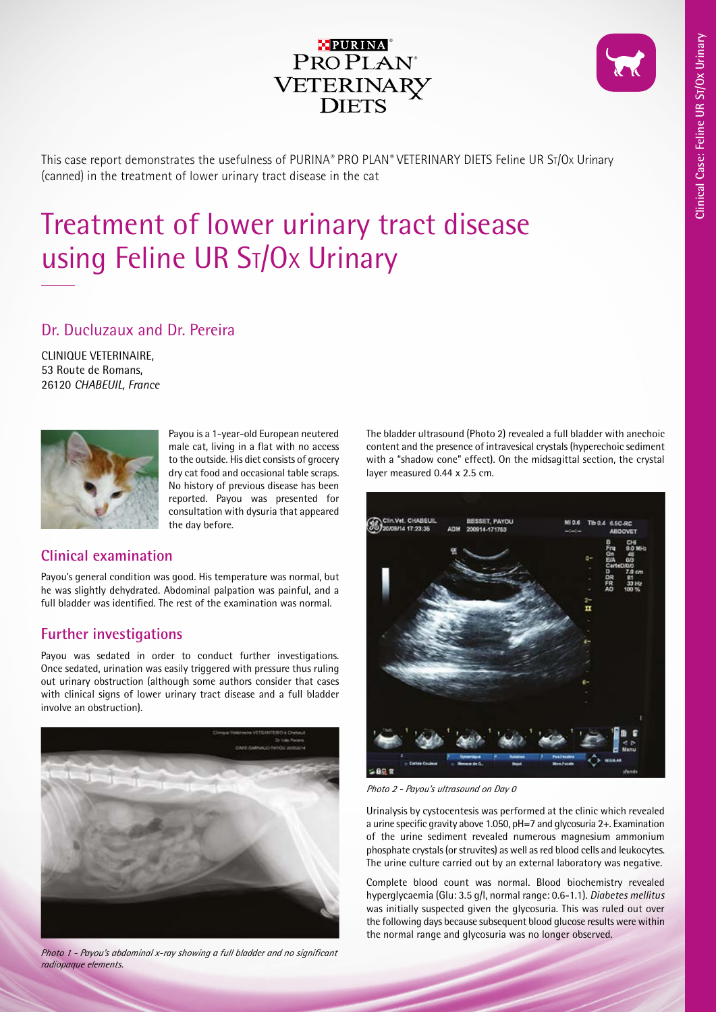

This case report demonstrates the usefulness of PURINA*®* PRO PLAN*®* VETERINARY DIETS Feline UR St/Ox Urinary (canned) in the treatment of lower urinary tract disease in the cat

# Treatment of lower urinary tract disease using Feline UR ST/Ox Urinary

## Dr. Ducluzaux and Dr. Pereira

CLINIQUE VETERINAIRE, 53 Route de Romans, 26120 *CHABEUIL, France*



Payou is a 1-year-old European neutered male cat, living in a flat with no access to the outside. His diet consists of grocery dry cat food and occasional table scraps. No history of previous disease has been reported. Payou was presented for consultation with dysuria that appeared the day before.

## **Clinical examination**

Payou's general condition was good. His temperature was normal, but he was slightly dehydrated. Abdominal palpation was painful, and a full bladder was identified. The rest of the examination was normal.

## **Further investigations**

Payou was sedated in order to conduct further investigations. Once sedated, urination was easily triggered with pressure thus ruling out urinary obstruction (although some authors consider that cases with clinical signs of lower urinary tract disease and a full bladder involve an obstruction).



*Photo 1 - Payou's abdominal x-ray showing a full bladder and no significant radiopaque elements.*

The bladder ultrasound (Photo 2) revealed a full bladder with anechoic content and the presence of intravesical crystals (hyperechoic sediment with a "shadow cone" effect). On the midsagittal section, the crystal layer measured 0.44 x 2.5 cm.



*Photo 2 - Payou's ultrasound on Day 0*

Urinalysis by cystocentesis was performed at the clinic which revealed a urine specific gravity above 1.050, pH=7 and glycosuria 2+. Examination of the urine sediment revealed numerous magnesium ammonium phosphate crystals (or struvites) as well as red blood cells and leukocytes. The urine culture carried out by an external laboratory was negative.

Complete blood count was normal. Blood biochemistry revealed hyperglycaemia (Glu: 3.5 g/l, normal range: 0.6-1.1). *Diabetes mellitus*  was initially suspected given the glycosuria. This was ruled out over the following days because subsequent blood glucose results were within the normal range and glycosuria was no longer observed.